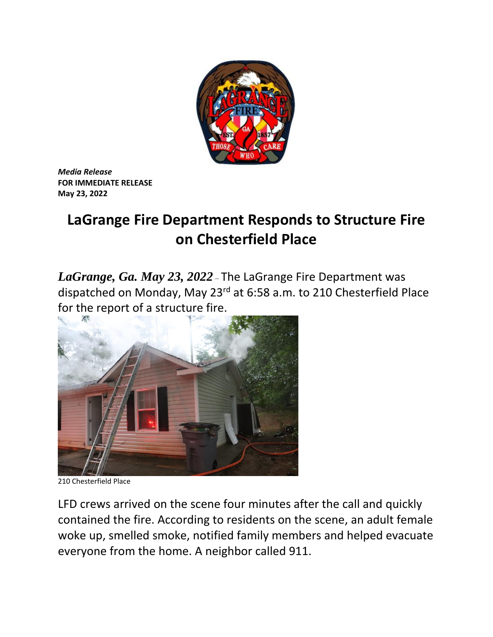

*Media Release* **FOR IMMEDIATE RELEASE May 23, 2022**

## **LaGrange Fire Department Responds to Structure Fire on Chesterfield Place**

*LaGrange, Ga. May 23, 2022* – The LaGrange Fire Department was dispatched on Monday, May 23rd at 6:58 a.m. to 210 Chesterfield Place for the report of a structure fire.



210 Chesterfield Place

LFD crews arrived on the scene four minutes after the call and quickly contained the fire. According to residents on the scene, an adult female woke up, smelled smoke, notified family members and helped evacuate everyone from the home. A neighbor called 911.